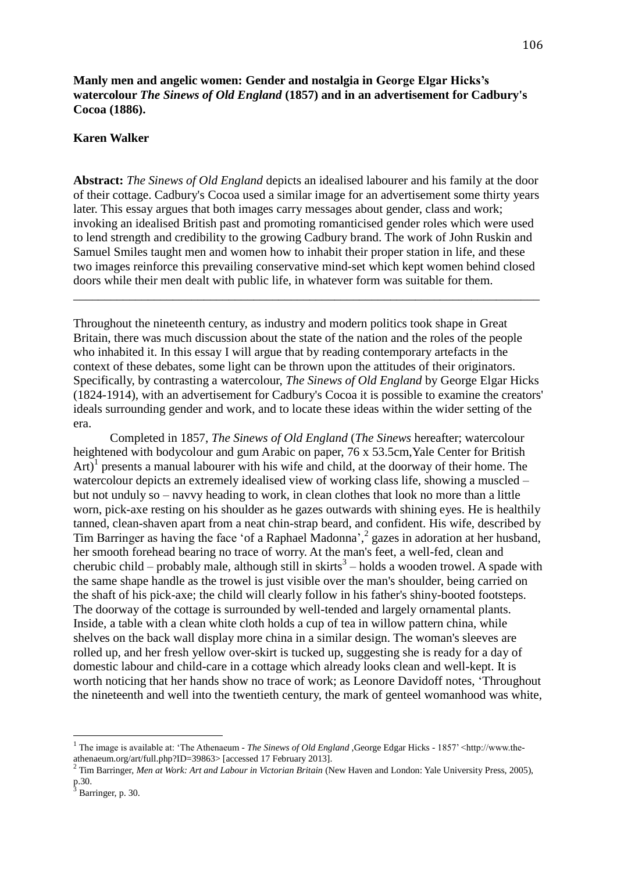**Manly men and angelic women: Gender and nostalgia in George Elgar Hicks's watercolour** *The Sinews of Old England* **(1857) and in an advertisement for Cadbury's Cocoa (1886).**

## **Karen Walker**

**Abstract:** *The Sinews of Old England* depicts an idealised labourer and his family at the door of their cottage. Cadbury's Cocoa used a similar image for an advertisement some thirty years later. This essay argues that both images carry messages about gender, class and work; invoking an idealised British past and promoting romanticised gender roles which were used to lend strength and credibility to the growing Cadbury brand. The work of John Ruskin and Samuel Smiles taught men and women how to inhabit their proper station in life, and these two images reinforce this prevailing conservative mind-set which kept women behind closed doors while their men dealt with public life, in whatever form was suitable for them.

\_\_\_\_\_\_\_\_\_\_\_\_\_\_\_\_\_\_\_\_\_\_\_\_\_\_\_\_\_\_\_\_\_\_\_\_\_\_\_\_\_\_\_\_\_\_\_\_\_\_\_\_\_\_\_\_\_\_\_\_\_\_\_\_\_\_\_\_\_\_\_\_\_\_\_

Throughout the nineteenth century, as industry and modern politics took shape in Great Britain, there was much discussion about the state of the nation and the roles of the people who inhabited it. In this essay I will argue that by reading contemporary artefacts in the context of these debates, some light can be thrown upon the attitudes of their originators. Specifically, by contrasting a watercolour, *The Sinews of Old England* by George Elgar Hicks (1824-1914), with an advertisement for Cadbury's Cocoa it is possible to examine the creators' ideals surrounding gender and work, and to locate these ideas within the wider setting of the era.

Completed in 1857, *The Sinews of Old England* (*The Sinews* hereafter; watercolour heightened with bodycolour and gum Arabic on paper, 76 x 53.5cm, Yale Center for British Art)<sup>1</sup> presents a manual labourer with his wife and child, at the doorway of their home. The watercolour depicts an extremely idealised view of working class life, showing a muscled – but not unduly so – navvy heading to work, in clean clothes that look no more than a little worn, pick-axe resting on his shoulder as he gazes outwards with shining eyes. He is healthily tanned, clean-shaven apart from a neat chin-strap beard, and confident. His wife, described by Tim Barringer as having the face 'of a Raphael Madonna', 2 gazes in adoration at her husband, her smooth forehead bearing no trace of worry. At the man's feet, a well-fed, clean and cherubic child – probably male, although still in skirts<sup>3</sup> – holds a wooden trowel. A spade with the same shape handle as the trowel is just visible over the man's shoulder, being carried on the shaft of his pick-axe; the child will clearly follow in his father's shiny-booted footsteps. The doorway of the cottage is surrounded by well-tended and largely ornamental plants. Inside, a table with a clean white cloth holds a cup of tea in willow pattern china, while shelves on the back wall display more china in a similar design. The woman's sleeves are rolled up, and her fresh yellow over-skirt is tucked up, suggesting she is ready for a day of domestic labour and child-care in a cottage which already looks clean and well-kept. It is worth noticing that her hands show no trace of work; as Leonore Davidoff notes, 'Throughout the nineteenth and well into the twentieth century, the mark of genteel womanhood was white,

<u>.</u>

<sup>&</sup>lt;sup>1</sup> The image is available at: 'The Athenaeum - *The Sinews of Old England* , George Edgar Hicks - 1857' <http://www.theathenaeum.org/art/full.php?ID=39863> [accessed 17 February 2013].

<sup>2</sup> Tim Barringer, *Men at Work: Art and Labour in Victorian Britain* (New Haven and London: Yale University Press, 2005), p.30.

 $3$  Barringer, p. 30.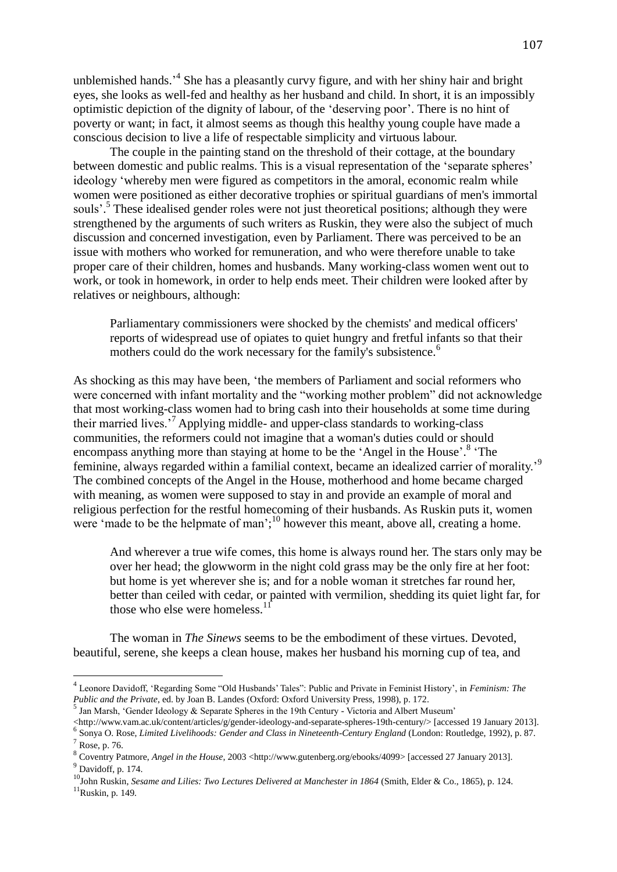unblemished hands.<sup>4</sup> She has a pleasantly curvy figure, and with her shiny hair and bright eyes, she looks as well-fed and healthy as her husband and child. In short, it is an impossibly optimistic depiction of the dignity of labour, of the 'deserving poor'. There is no hint of poverty or want; in fact, it almost seems as though this healthy young couple have made a conscious decision to live a life of respectable simplicity and virtuous labour.

The couple in the painting stand on the threshold of their cottage, at the boundary between domestic and public realms. This is a visual representation of the 'separate spheres' ideology 'whereby men were figured as competitors in the amoral, economic realm while women were positioned as either decorative trophies or spiritual guardians of men's immortal souls'.<sup>5</sup> These idealised gender roles were not just theoretical positions; although they were strengthened by the arguments of such writers as Ruskin, they were also the subject of much discussion and concerned investigation, even by Parliament. There was perceived to be an issue with mothers who worked for remuneration, and who were therefore unable to take proper care of their children, homes and husbands. Many working-class women went out to work, or took in homework, in order to help ends meet. Their children were looked after by relatives or neighbours, although:

Parliamentary commissioners were shocked by the chemists' and medical officers' reports of widespread use of opiates to quiet hungry and fretful infants so that their mothers could do the work necessary for the family's subsistence.<sup>6</sup>

As shocking as this may have been, 'the members of Parliament and social reformers who were concerned with infant mortality and the "working mother problem" did not acknowledge that most working-class women had to bring cash into their households at some time during their married lives.'<sup>7</sup> Applying middle- and upper-class standards to working-class communities, the reformers could not imagine that a woman's duties could or should encompass anything more than staying at home to be the 'Angel in the House'.<sup>8</sup> 'The feminine, always regarded within a familial context, became an idealized carrier of morality.'<sup>9</sup> The combined concepts of the Angel in the House, motherhood and home became charged with meaning, as women were supposed to stay in and provide an example of moral and religious perfection for the restful homecoming of their husbands. As Ruskin puts it, women were 'made to be the helpmate of man';<sup>10</sup> however this meant, above all, creating a home.

And wherever a true wife comes, this home is always round her. The stars only may be over her head; the glowworm in the night cold grass may be the only fire at her foot: but home is yet wherever she is; and for a noble woman it stretches far round her, better than ceiled with cedar, or painted with vermilion, shedding its quiet light far, for those who else were homeless. $11$ 

The woman in *The Sinews* seems to be the embodiment of these virtues. Devoted, beautiful, serene, she keeps a clean house, makes her husband his morning cup of tea, and

<http://www.vam.ac.uk/content/articles/g/gender-ideology-and-separate-spheres-19th-century/> [accessed 19 January 2013].

<sup>4</sup> Leonore Davidoff, 'Regarding Some "Old Husbands' Tales": Public and Private in Feminist History', in *Feminism: The Public and the Private*, ed. by Joan B. Landes (Oxford: Oxford University Press, 1998), p. 172.

<sup>&</sup>lt;sup>5</sup> Jan Marsh, 'Gender Ideology & Separate Spheres in the 19th Century - Victoria and Albert Museum'

<sup>6</sup> Sonya O. Rose, *Limited Livelihoods: Gender and Class in Nineteenth-Century England* (London: Routledge, 1992), p. 87.  $<sup>7</sup>$  Rose, p. 76.</sup>

<sup>&</sup>lt;sup>8</sup> Coventry Patmore, *Angel in the House*, 2003 <http://www.gutenberg.org/ebooks/4099> [accessed 27 January 2013].  $9$  Davidoff, p. 174.

<sup>&</sup>lt;sup>10</sup>John Ruskin, *Sesame and Lilies: Two Lectures Delivered at Manchester in 1864* (Smith, Elder & Co., 1865), p. 124.

 $11$ Ruskin, p. 149.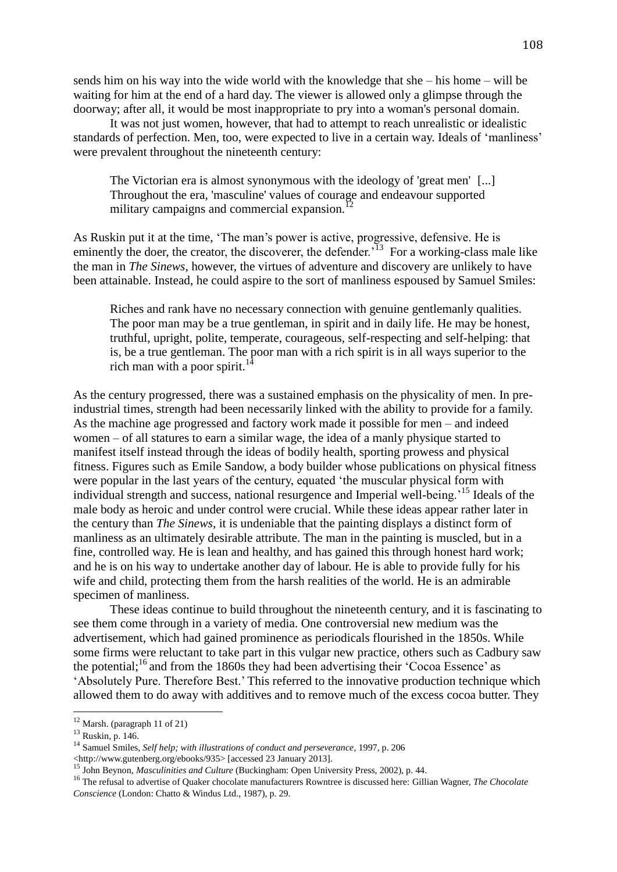sends him on his way into the wide world with the knowledge that she – his home – will be waiting for him at the end of a hard day. The viewer is allowed only a glimpse through the doorway; after all, it would be most inappropriate to pry into a woman's personal domain.

It was not just women, however, that had to attempt to reach unrealistic or idealistic standards of perfection. Men, too, were expected to live in a certain way. Ideals of 'manliness' were prevalent throughout the nineteenth century:

The Victorian era is almost synonymous with the ideology of 'great men' [...] Throughout the era, 'masculine' values of courage and endeavour supported military campaigns and commercial expansion.<sup>12</sup>

As Ruskin put it at the time, 'The man's power is active, progressive, defensive. He is eminently the doer, the creator, the discoverer, the defender.<sup> $13$ </sup> For a working-class male like the man in *The Sinews*, however, the virtues of adventure and discovery are unlikely to have been attainable. Instead, he could aspire to the sort of manliness espoused by Samuel Smiles:

Riches and rank have no necessary connection with genuine gentlemanly qualities. The poor man may be a true gentleman, in spirit and in daily life. He may be honest, truthful, upright, polite, temperate, courageous, self-respecting and self-helping: that is, be a true gentleman. The poor man with a rich spirit is in all ways superior to the rich man with a poor spirit.<sup>1</sup>

As the century progressed, there was a sustained emphasis on the physicality of men. In preindustrial times, strength had been necessarily linked with the ability to provide for a family. As the machine age progressed and factory work made it possible for men – and indeed women – of all statures to earn a similar wage, the idea of a manly physique started to manifest itself instead through the ideas of bodily health, sporting prowess and physical fitness. Figures such as Emile Sandow, a body builder whose publications on physical fitness were popular in the last years of the century, equated 'the muscular physical form with individual strength and success, national resurgence and Imperial well-being.'<sup>15</sup> Ideals of the male body as heroic and under control were crucial. While these ideas appear rather later in the century than *The Sinews*, it is undeniable that the painting displays a distinct form of manliness as an ultimately desirable attribute. The man in the painting is muscled, but in a fine, controlled way. He is lean and healthy, and has gained this through honest hard work; and he is on his way to undertake another day of labour. He is able to provide fully for his wife and child, protecting them from the harsh realities of the world. He is an admirable specimen of manliness.

These ideas continue to build throughout the nineteenth century, and it is fascinating to see them come through in a variety of media. One controversial new medium was the advertisement, which had gained prominence as periodicals flourished in the 1850s. While some firms were reluctant to take part in this vulgar new practice, others such as Cadbury saw the potential;<sup>16</sup> and from the 1860s they had been advertising their 'Cocoa Essence' as 'Absolutely Pure. Therefore Best.' This referred to the innovative production technique which allowed them to do away with additives and to remove much of the excess cocoa butter. They

 $12$  Marsh. (paragraph 11 of 21)

<sup>13</sup> Ruskin, p. 146.

<sup>14</sup> Samuel Smiles, *Self help; with illustrations of conduct and perseverance*, 1997, p. 206

<sup>&</sup>lt;http://www.gutenberg.org/ebooks/935> [accessed 23 January 2013].

<sup>15</sup> John Beynon, *Masculinities and Culture* (Buckingham: Open University Press, 2002), p. 44.

<sup>16</sup> The refusal to advertise of Quaker chocolate manufacturers Rowntree is discussed here: Gillian Wagner, *The Chocolate Conscience* (London: Chatto & Windus Ltd., 1987), p. 29.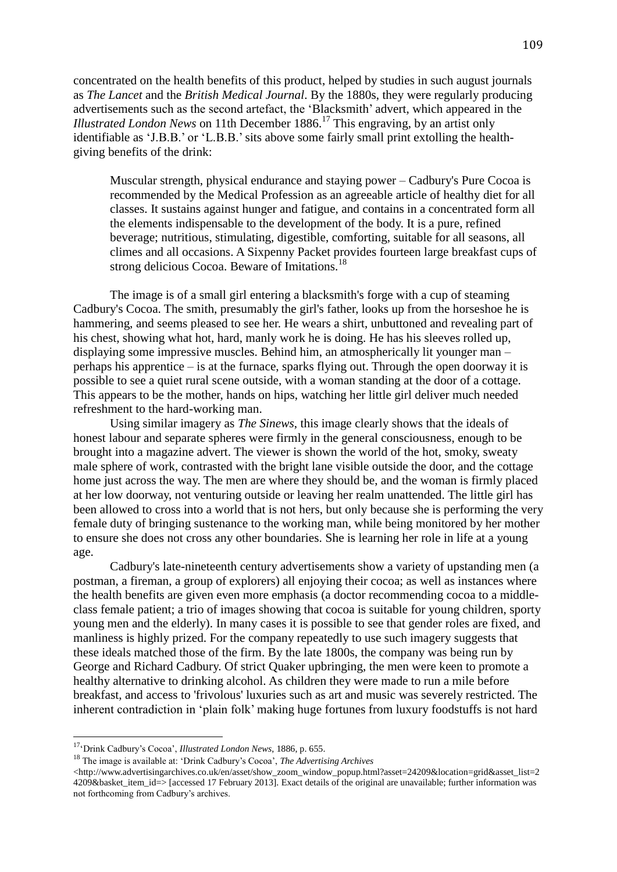concentrated on the health benefits of this product, helped by studies in such august journals as *The Lancet* and the *British Medical Journal*. By the 1880s, they were regularly producing advertisements such as the second artefact, the 'Blacksmith' advert, which appeared in the *Illustrated London News* on 11th December 1886. <sup>17</sup> This engraving, by an artist only identifiable as 'J.B.B.' or 'L.B.B.' sits above some fairly small print extolling the healthgiving benefits of the drink:

Muscular strength, physical endurance and staying power – Cadbury's Pure Cocoa is recommended by the Medical Profession as an agreeable article of healthy diet for all classes. It sustains against hunger and fatigue, and contains in a concentrated form all the elements indispensable to the development of the body. It is a pure, refined beverage; nutritious, stimulating, digestible, comforting, suitable for all seasons, all climes and all occasions. A Sixpenny Packet provides fourteen large breakfast cups of strong delicious Cocoa. Beware of Imitations.<sup>18</sup>

The image is of a small girl entering a blacksmith's forge with a cup of steaming Cadbury's Cocoa. The smith, presumably the girl's father, looks up from the horseshoe he is hammering, and seems pleased to see her. He wears a shirt, unbuttoned and revealing part of his chest, showing what hot, hard, manly work he is doing. He has his sleeves rolled up, displaying some impressive muscles. Behind him, an atmospherically lit younger man – perhaps his apprentice – is at the furnace, sparks flying out. Through the open doorway it is possible to see a quiet rural scene outside, with a woman standing at the door of a cottage. This appears to be the mother, hands on hips, watching her little girl deliver much needed refreshment to the hard-working man.

Using similar imagery as *The Sinews*, this image clearly shows that the ideals of honest labour and separate spheres were firmly in the general consciousness, enough to be brought into a magazine advert. The viewer is shown the world of the hot, smoky, sweaty male sphere of work, contrasted with the bright lane visible outside the door, and the cottage home just across the way. The men are where they should be, and the woman is firmly placed at her low doorway, not venturing outside or leaving her realm unattended. The little girl has been allowed to cross into a world that is not hers, but only because she is performing the very female duty of bringing sustenance to the working man, while being monitored by her mother to ensure she does not cross any other boundaries. She is learning her role in life at a young age.

Cadbury's late-nineteenth century advertisements show a variety of upstanding men (a postman, a fireman, a group of explorers) all enjoying their cocoa; as well as instances where the health benefits are given even more emphasis (a doctor recommending cocoa to a middleclass female patient; a trio of images showing that cocoa is suitable for young children, sporty young men and the elderly). In many cases it is possible to see that gender roles are fixed, and manliness is highly prized. For the company repeatedly to use such imagery suggests that these ideals matched those of the firm. By the late 1800s, the company was being run by George and Richard Cadbury. Of strict Quaker upbringing, the men were keen to promote a healthy alternative to drinking alcohol. As children they were made to run a mile before breakfast, and access to 'frivolous' luxuries such as art and music was severely restricted. The inherent contradiction in 'plain folk' making huge fortunes from luxury foodstuffs is not hard

<u>.</u>

<sup>18</sup> The image is available at: 'Drink Cadbury's Cocoa', *The Advertising Archives*

<sup>17</sup>'Drink Cadbury's Cocoa', *Illustrated London News*, 1886, p. 655.

<sup>&</sup>lt;http://www.advertisingarchives.co.uk/en/asset/show\_zoom\_window\_popup.html?asset=24209&location=grid&asset\_list=2 4209&basket\_item\_id=> [accessed 17 February 2013]. Exact details of the original are unavailable; further information was not forthcoming from Cadbury's archives.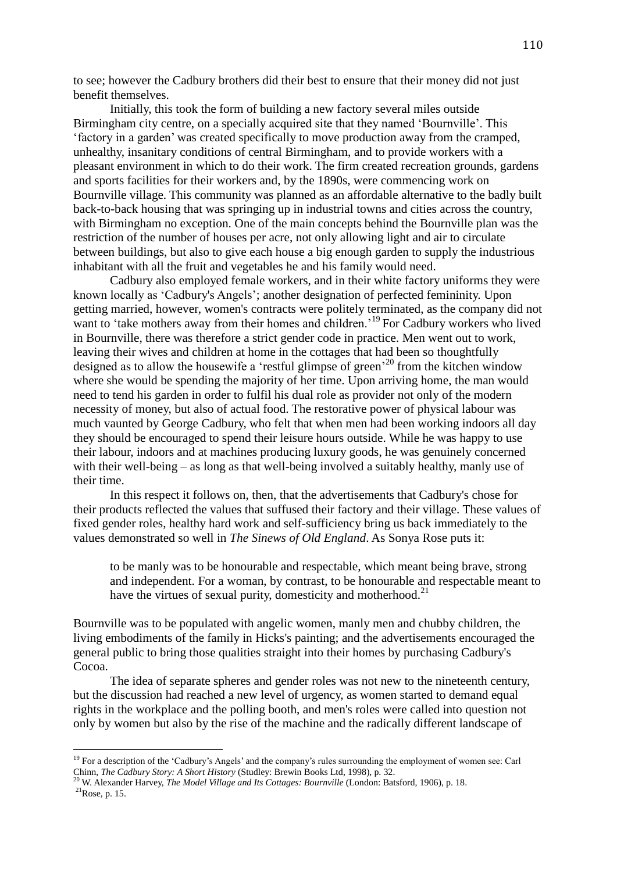to see; however the Cadbury brothers did their best to ensure that their money did not just benefit themselves.

Initially, this took the form of building a new factory several miles outside Birmingham city centre, on a specially acquired site that they named 'Bournville'. This 'factory in a garden' was created specifically to move production away from the cramped, unhealthy, insanitary conditions of central Birmingham, and to provide workers with a pleasant environment in which to do their work. The firm created recreation grounds, gardens and sports facilities for their workers and, by the 1890s, were commencing work on Bournville village. This community was planned as an affordable alternative to the badly built back-to-back housing that was springing up in industrial towns and cities across the country, with Birmingham no exception. One of the main concepts behind the Bournville plan was the restriction of the number of houses per acre, not only allowing light and air to circulate between buildings, but also to give each house a big enough garden to supply the industrious inhabitant with all the fruit and vegetables he and his family would need.

Cadbury also employed female workers, and in their white factory uniforms they were known locally as 'Cadbury's Angels'; another designation of perfected femininity. Upon getting married, however, women's contracts were politely terminated, as the company did not want to 'take mothers away from their homes and children.<sup>19</sup> For Cadbury workers who lived in Bournville, there was therefore a strict gender code in practice. Men went out to work, leaving their wives and children at home in the cottages that had been so thoughtfully designed as to allow the housewife a 'restful glimpse of green'<sup>20</sup> from the kitchen window where she would be spending the majority of her time. Upon arriving home, the man would need to tend his garden in order to fulfil his dual role as provider not only of the modern necessity of money, but also of actual food. The restorative power of physical labour was much vaunted by George Cadbury, who felt that when men had been working indoors all day they should be encouraged to spend their leisure hours outside. While he was happy to use their labour, indoors and at machines producing luxury goods, he was genuinely concerned with their well-being – as long as that well-being involved a suitably healthy, manly use of their time.

In this respect it follows on, then, that the advertisements that Cadbury's chose for their products reflected the values that suffused their factory and their village. These values of fixed gender roles, healthy hard work and self-sufficiency bring us back immediately to the values demonstrated so well in *The Sinews of Old England*. As Sonya Rose puts it:

to be manly was to be honourable and respectable, which meant being brave, strong and independent. For a woman, by contrast, to be honourable and respectable meant to have the virtues of sexual purity, domesticity and motherhood.<sup>21</sup>

Bournville was to be populated with angelic women, manly men and chubby children, the living embodiments of the family in Hicks's painting; and the advertisements encouraged the general public to bring those qualities straight into their homes by purchasing Cadbury's Cocoa.

The idea of separate spheres and gender roles was not new to the nineteenth century, but the discussion had reached a new level of urgency, as women started to demand equal rights in the workplace and the polling booth, and men's roles were called into question not only by women but also by the rise of the machine and the radically different landscape of

<sup>&</sup>lt;sup>19</sup> For a description of the 'Cadbury's Angels' and the company's rules surrounding the employment of women see: Carl Chinn, *The Cadbury Story: A Short History* (Studley: Brewin Books Ltd, 1998), p. 32.

<sup>20</sup> W. Alexander Harvey, *The Model Village and Its Cottages: Bournville* (London: Batsford, 1906), p. 18.

 $^{21}$ Rose, p. 15.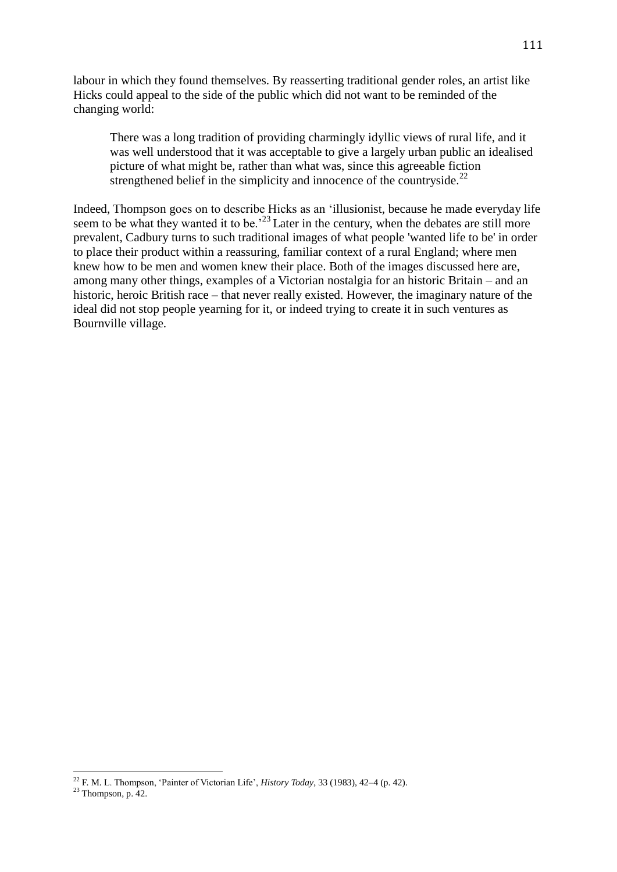labour in which they found themselves. By reasserting traditional gender roles, an artist like Hicks could appeal to the side of the public which did not want to be reminded of the changing world:

There was a long tradition of providing charmingly idyllic views of rural life, and it was well understood that it was acceptable to give a largely urban public an idealised picture of what might be, rather than what was, since this agreeable fiction strengthened belief in the simplicity and innocence of the countryside. $^{22}$ 

Indeed, Thompson goes on to describe Hicks as an 'illusionist, because he made everyday life seem to be what they wanted it to be.<sup>23</sup> Later in the century, when the debates are still more prevalent, Cadbury turns to such traditional images of what people 'wanted life to be' in order to place their product within a reassuring, familiar context of a rural England; where men knew how to be men and women knew their place. Both of the images discussed here are, among many other things, examples of a Victorian nostalgia for an historic Britain – and an historic, heroic British race – that never really existed. However, the imaginary nature of the ideal did not stop people yearning for it, or indeed trying to create it in such ventures as Bournville village.

<sup>22</sup> F. M. L. Thompson, 'Painter of Victorian Life', *History Today*, 33 (1983), 42–4 (p. 42).

 $23$  Thompson, p. 42.